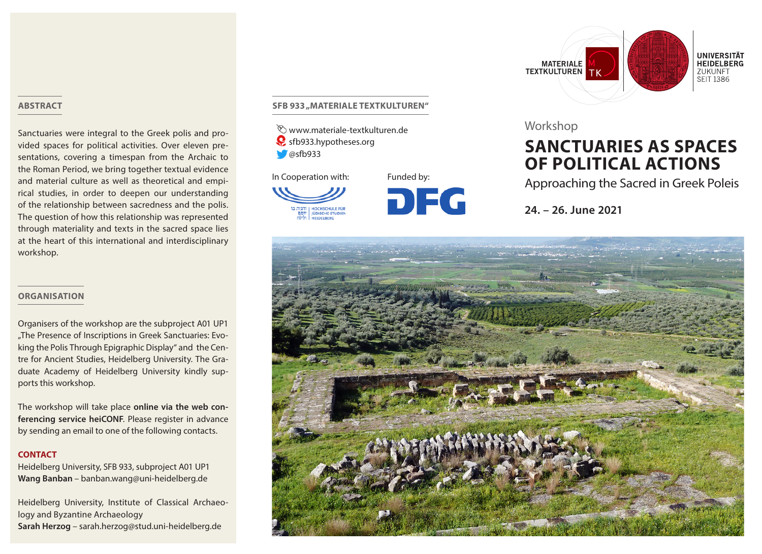## **ABSTRACT**

Sanctuaries were integral to the Greek polis and provided spaces for political activities. Over eleven presentations, covering a timespan from the Archaic to the Roman Period, we bring together textual evidence and material culture as well as theoretical and empirical studies, in order to deepen our understanding of the relationship between sacredness and the polis. The question of how this relationship was represented through materiality and texts in the sacred space lies at the heart of this international and interdisciplinary workshop.

## **ORGANISATION**

Organisers of the workshop are the subproject A01 UP1 "The Presence of Inscriptions in Greek Sanctuaries: Evoking the Polis Through Epigraphic Display" and the Centre for Ancient Studies, Heidelberg University. The Graduate Academy of Heidelberg University kindly supports this workshop.

The workshop will take place **online via the web conferencing service heiCONF**. Please register in advance by sending an email to one of the following contacts.

## **CONTACT**

Heidelberg University, SFB 933, subproject A01 UP1 **Wang Banban** – banban.wang@uni-heidelberg.de

Heidelberg University, Institute of Classical Archaeology and Byzantine Archaeology **Sarah Herzog** – sarah.herzog@stud.uni-heidelberg.de

## **SFB 933 "MATERIALE TEXTKULTUREN"**

www.materiale-textkulturen.de sfb933.hypotheses.org  $\bullet$  @sfb933



**DFG** 



## Workshop

# **SANCTUARIES AS SPACES OF POLITICAL ACTIONS**

Approaching the Sacred in Greek Poleis

**24. – 26. June 2021**